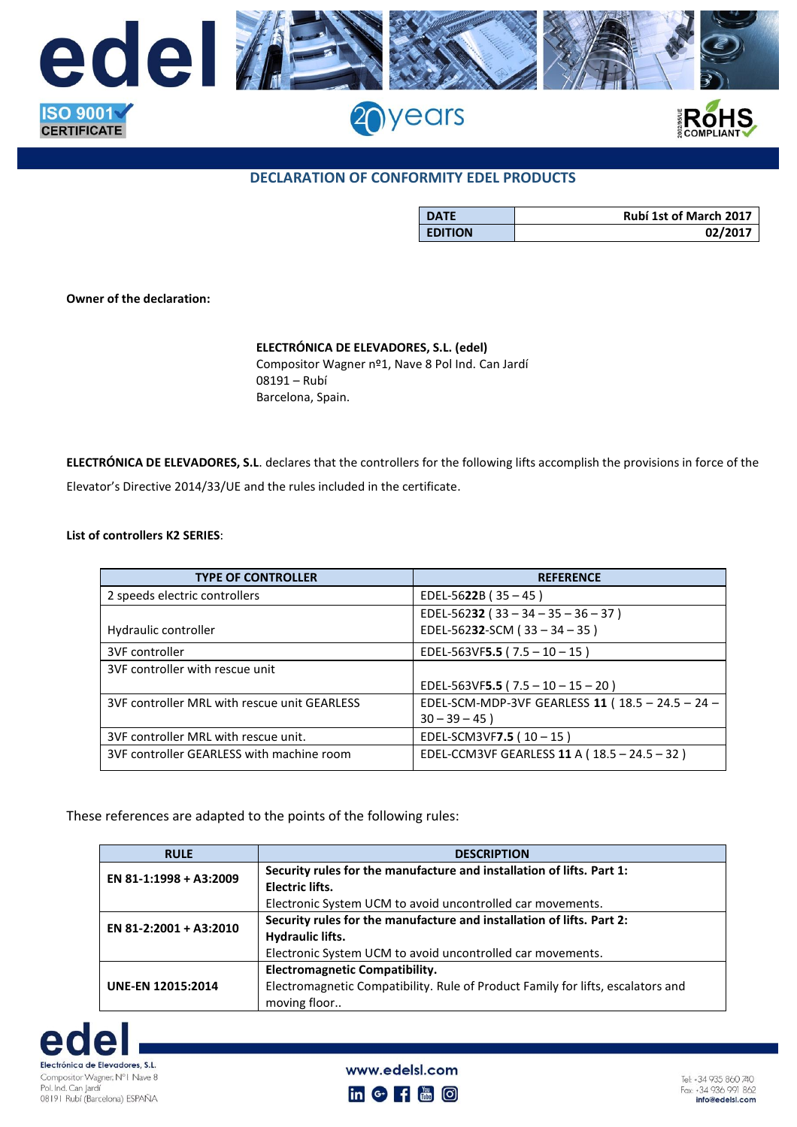

## **DECLARATION OF CONFORMITY EDEL PRODUCTS**

| <b>DATE</b>    | <b>Rubí 1st of March 2017</b> |
|----------------|-------------------------------|
| <b>EDITION</b> | 02/2017                       |

**Owner of the declaration:**

## **ELECTRÓNICA DE ELEVADORES, S.L. (edel)**

Compositor Wagner nº1, Nave 8 Pol Ind. Can Jardí 08191 – Rubí Barcelona, Spain.

**ELECTRÓNICA DE ELEVADORES, S.L**. declares that the controllers for the following lifts accomplish the provisions in force of the Elevator's Directive 2014/33/UE and the rules included in the certificate.

## **List of controllers K2 SERIES**:

| <b>TYPE OF CONTROLLER</b>                    | <b>REFERENCE</b>                                 |
|----------------------------------------------|--------------------------------------------------|
| 2 speeds electric controllers                | EDEL-5622B ( $35 - 45$ )                         |
|                                              | EDEL-56232 ( $33 - 34 - 35 - 36 - 37$ )          |
| Hydraulic controller                         | EDEL-56232-SCM ( $33 - 34 - 35$ )                |
| 3VF controller                               | EDEL-563VF5.5 ( $7.5 - 10 - 15$ )                |
| 3VF controller with rescue unit              |                                                  |
|                                              | EDEL-563VF5.5 ( $7.5 - 10 - 15 - 20$ )           |
| 3VF controller MRL with rescue unit GEARLESS | EDEL-SCM-MDP-3VF GEARLESS 11 (18.5 - 24.5 - 24 - |
|                                              | $30 - 39 - 45$ )                                 |
| 3VF controller MRL with rescue unit.         | EDEL-SCM3VF7.5 ( $10 - 15$ )                     |
| 3VF controller GEARLESS with machine room    | EDEL-CCM3VF GEARLESS 11 A (18.5 - 24.5 - 32)     |

These references are adapted to the points of the following rules:

| <b>RULE</b>              | <b>DESCRIPTION</b>                                                              |
|--------------------------|---------------------------------------------------------------------------------|
| EN 81-1:1998 + A3:2009   | Security rules for the manufacture and installation of lifts. Part 1:           |
|                          | <b>Electric lifts.</b>                                                          |
|                          | Electronic System UCM to avoid uncontrolled car movements.                      |
| EN 81-2:2001 + A3:2010   | Security rules for the manufacture and installation of lifts. Part 2:           |
|                          | Hydraulic lifts.                                                                |
|                          | Electronic System UCM to avoid uncontrolled car movements.                      |
| <b>UNE-EN 12015:2014</b> | <b>Electromagnetic Compatibility.</b>                                           |
|                          | Electromagnetic Compatibility. Rule of Product Family for lifts, escalators and |
|                          | moving floor                                                                    |



www.edelsl.com